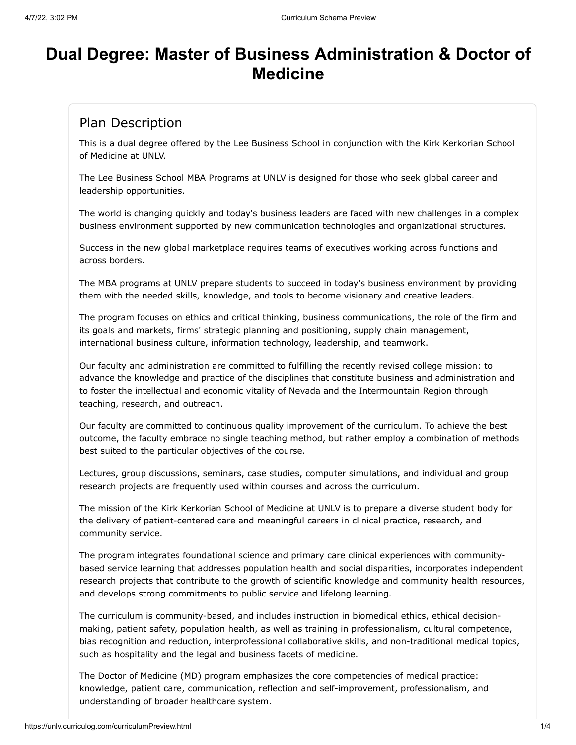# **Dual Degree: Master of Business Administration & Doctor of Medicine**

# Plan Description

This is a dual degree offered by the Lee Business School in conjunction with the Kirk Kerkorian School of Medicine at UNLV.

The Lee Business School MBA Programs at UNLV is designed for those who seek global career and leadership opportunities.

The world is changing quickly and today's business leaders are faced with new challenges in a complex business environment supported by new communication technologies and organizational structures.

Success in the new global marketplace requires teams of executives working across functions and across borders.

The MBA programs at UNLV prepare students to succeed in today's business environment by providing them with the needed skills, knowledge, and tools to become visionary and creative leaders.

The program focuses on ethics and critical thinking, business communications, the role of the firm and its goals and markets, firms' strategic planning and positioning, supply chain management, international business culture, information technology, leadership, and teamwork.

Our faculty and administration are committed to fulfilling the recently revised college mission: to advance the knowledge and practice of the disciplines that constitute business and administration and to foster the intellectual and economic vitality of Nevada and the Intermountain Region through teaching, research, and outreach.

Our faculty are committed to continuous quality improvement of the curriculum. To achieve the best outcome, the faculty embrace no single teaching method, but rather employ a combination of methods best suited to the particular objectives of the course.

Lectures, group discussions, seminars, case studies, computer simulations, and individual and group research projects are frequently used within courses and across the curriculum.

The mission of the Kirk Kerkorian School of Medicine at UNLV is to prepare a diverse student body for the delivery of patient-centered care and meaningful careers in clinical practice, research, and community service.

The program integrates foundational science and primary care clinical experiences with communitybased service learning that addresses population health and social disparities, incorporates independent research projects that contribute to the growth of scientific knowledge and community health resources, and develops strong commitments to public service and lifelong learning.

The curriculum is community-based, and includes instruction in biomedical ethics, ethical decisionmaking, patient safety, population health, as well as training in professionalism, cultural competence, bias recognition and reduction, interprofessional collaborative skills, and non-traditional medical topics, such as hospitality and the legal and business facets of medicine.

The Doctor of Medicine (MD) program emphasizes the core competencies of medical practice: knowledge, patient care, communication, reflection and self-improvement, professionalism, and understanding of broader healthcare system.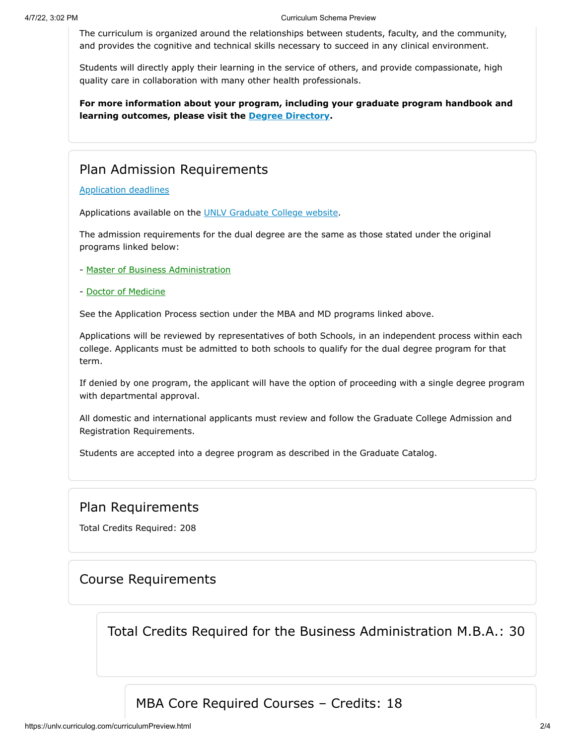The curriculum is organized around the relationships between students, faculty, and the community, and provides the cognitive and technical skills necessary to succeed in any clinical environment.

Students will directly apply their learning in the service of others, and provide compassionate, high quality care in collaboration with many other health professionals.

**For more information about your program, including your graduate program handbook and learning outcomes, please visit the [Degree Directory.](https://www.unlv.edu/degree/dual-mba-md)**

# Plan Admission Requirements

[Application deadlines](http://www.unlv.edu/graduatecollege/application-deadlines)

Applications available on the [UNLV Graduate College website.](http://graduatecollege.unlv.edu/admissions/)

The admission requirements for the dual degree are the same as those stated under the original programs linked below:

- Master of Business Administration
- Doctor of Medicine

See the Application Process section under the MBA and MD programs linked above.

Applications will be reviewed by representatives of both Schools, in an independent process within each college. Applicants must be admitted to both schools to qualify for the dual degree program for that term.

If denied by one program, the applicant will have the option of proceeding with a single degree program with departmental approval.

All domestic and international applicants must review and follow the Graduate College Admission and Registration Requirements.

Students are accepted into a degree program as described in the Graduate Catalog.

#### Plan Requirements

Total Credits Required: 208

#### Course Requirements

Total Credits Required for the Business Administration M.B.A.: 30

MBA Core Required Courses – Credits: 18